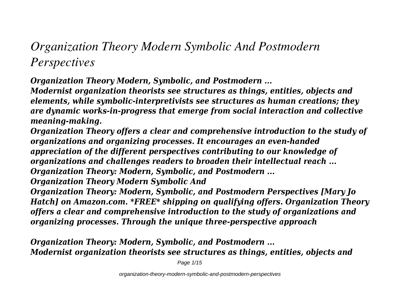# *Organization Theory Modern Symbolic And Postmodern Perspectives*

*Organization Theory Modern, Symbolic, and Postmodern ...*

*Modernist organization theorists see structures as things, entities, objects and elements, while symbolic-interpretivists see structures as human creations; they are dynamic works-in-progress that emerge from social interaction and collective meaning-making.*

*Organization Theory offers a clear and comprehensive introduction to the study of organizations and organizing processes. It encourages an even-handed appreciation of the different perspectives contributing to our knowledge of organizations and challenges readers to broaden their intellectual reach ... Organization Theory: Modern, Symbolic, and Postmodern ...*

*Organization Theory Modern Symbolic And*

*Organization Theory: Modern, Symbolic, and Postmodern Perspectives [Mary Jo Hatch] on Amazon.com. \*FREE\* shipping on qualifying offers. Organization Theory offers a clear and comprehensive introduction to the study of organizations and organizing processes. Through the unique three-perspective approach*

*Organization Theory: Modern, Symbolic, and Postmodern ... Modernist organization theorists see structures as things, entities, objects and*

Page 1/15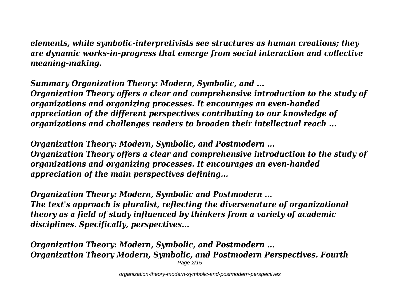*elements, while symbolic-interpretivists see structures as human creations; they are dynamic works-in-progress that emerge from social interaction and collective meaning-making.*

*Summary Organization Theory: Modern, Symbolic, and ... Organization Theory offers a clear and comprehensive introduction to the study of organizations and organizing processes. It encourages an even-handed appreciation of the different perspectives contributing to our knowledge of organizations and challenges readers to broaden their intellectual reach ...*

*Organization Theory: Modern, Symbolic, and Postmodern ... Organization Theory offers a clear and comprehensive introduction to the study of organizations and organizing processes. It encourages an even-handed appreciation of the main perspectives defining...*

*Organization Theory: Modern, Symbolic and Postmodern ... The text's approach is pluralist, reflecting the diversenature of organizational theory as a field of study influenced by thinkers from a variety of academic disciplines. Specifically, perspectives...*

*Organization Theory: Modern, Symbolic, and Postmodern ... Organization Theory Modern, Symbolic, and Postmodern Perspectives. Fourth* Page 2/15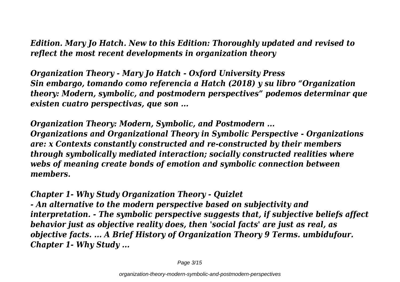*Edition. Mary Jo Hatch. New to this Edition: Thoroughly updated and revised to reflect the most recent developments in organization theory*

*Organization Theory - Mary Jo Hatch - Oxford University Press Sin embargo, tomando como referencia a Hatch (2018) y su libro "Organization theory: Modern, symbolic, and postmodern perspectives" podemos determinar que existen cuatro perspectivas, que son ...*

*Organization Theory: Modern, Symbolic, and Postmodern ... Organizations and Organizational Theory in Symbolic Perspective - Organizations are: x Contexts constantly constructed and re-constructed by their members through symbolically mediated interaction; socially constructed realities where webs of meaning create bonds of emotion and symbolic connection between members.*

#### *Chapter 1- Why Study Organization Theory - Quizlet*

*- An alternative to the modern perspective based on subjectivity and interpretation. - The symbolic perspective suggests that, if subjective beliefs affect behavior just as objective reality does, then 'social facts' are just as real, as objective facts. ... A Brief History of Organization Theory 9 Terms. umbidufour. Chapter 1- Why Study ...*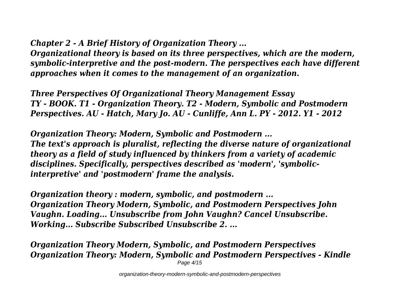*Chapter 2 - A Brief History of Organization Theory ...*

*Organizational theory is based on its three perspectives, which are the modern, symbolic-interpretive and the post-modern. The perspectives each have different approaches when it comes to the management of an organization.*

*Three Perspectives Of Organizational Theory Management Essay TY - BOOK. T1 - Organization Theory. T2 - Modern, Symbolic and Postmodern Perspectives. AU - Hatch, Mary Jo. AU - Cunliffe, Ann L. PY - 2012. Y1 - 2012*

*Organization Theory: Modern, Symbolic and Postmodern ... The text's approach is pluralist, reflecting the diverse nature of organizational theory as a field of study influenced by thinkers from a variety of academic disciplines. Specifically, perspectives described as 'modern', 'symbolicinterpretive' and 'postmodern' frame the analysis.*

*Organization theory : modern, symbolic, and postmodern ... Organization Theory Modern, Symbolic, and Postmodern Perspectives John Vaughn. Loading... Unsubscribe from John Vaughn? Cancel Unsubscribe. Working... Subscribe Subscribed Unsubscribe 2. ...*

*Organization Theory Modern, Symbolic, and Postmodern Perspectives Organization Theory: Modern, Symbolic and Postmodern Perspectives - Kindle* Page 4/15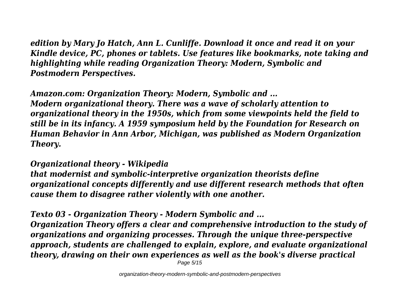*edition by Mary Jo Hatch, Ann L. Cunliffe. Download it once and read it on your Kindle device, PC, phones or tablets. Use features like bookmarks, note taking and highlighting while reading Organization Theory: Modern, Symbolic and Postmodern Perspectives.*

*Amazon.com: Organization Theory: Modern, Symbolic and ... Modern organizational theory. There was a wave of scholarly attention to organizational theory in the 1950s, which from some viewpoints held the field to still be in its infancy. A 1959 symposium held by the Foundation for Research on Human Behavior in Ann Arbor, Michigan, was published as Modern Organization Theory.*

*Organizational theory - Wikipedia that modernist and symbolic-interpretive organization theorists define organizational concepts differently and use different research methods that often cause them to disagree rather violently with one another.*

*Texto 03 - Organization Theory - Modern Symbolic and ... Organization Theory offers a clear and comprehensive introduction to the study of organizations and organizing processes. Through the unique three-perspective approach, students are challenged to explain, explore, and evaluate organizational theory, drawing on their own experiences as well as the book's diverse practical*

Page 5/15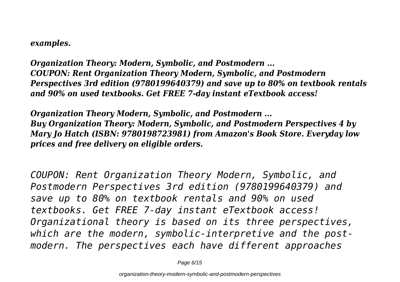#### *examples.*

*Organization Theory: Modern, Symbolic, and Postmodern ... COUPON: Rent Organization Theory Modern, Symbolic, and Postmodern Perspectives 3rd edition (9780199640379) and save up to 80% on textbook rentals and 90% on used textbooks. Get FREE 7-day instant eTextbook access!*

*Organization Theory Modern, Symbolic, and Postmodern ... Buy Organization Theory: Modern, Symbolic, and Postmodern Perspectives 4 by Mary Jo Hatch (ISBN: 9780198723981) from Amazon's Book Store. Everyday low prices and free delivery on eligible orders.*

*COUPON: Rent Organization Theory Modern, Symbolic, and Postmodern Perspectives 3rd edition (9780199640379) and save up to 80% on textbook rentals and 90% on used textbooks. Get FREE 7-day instant eTextbook access! Organizational theory is based on its three perspectives, which are the modern, symbolic-interpretive and the postmodern. The perspectives each have different approaches*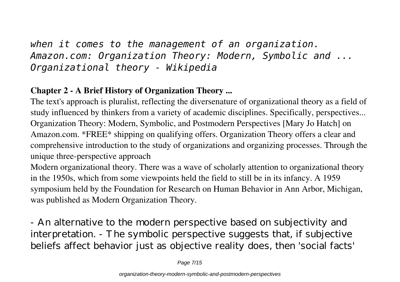# *when it comes to the management of an organization. Amazon.com: Organization Theory: Modern, Symbolic and ... Organizational theory - Wikipedia*

#### **Chapter 2 - A Brief History of Organization Theory ...**

The text's approach is pluralist, reflecting the diversenature of organizational theory as a field of study influenced by thinkers from a variety of academic disciplines. Specifically, perspectives... Organization Theory: Modern, Symbolic, and Postmodern Perspectives [Mary Jo Hatch] on Amazon.com. \*FREE\* shipping on qualifying offers. Organization Theory offers a clear and comprehensive introduction to the study of organizations and organizing processes. Through the unique three-perspective approach

Modern organizational theory. There was a wave of scholarly attention to organizational theory in the 1950s, which from some viewpoints held the field to still be in its infancy. A 1959 symposium held by the Foundation for Research on Human Behavior in Ann Arbor, Michigan, was published as Modern Organization Theory.

- An alternative to the modern perspective based on subjectivity and interpretation. - The symbolic perspective suggests that, if subjective beliefs affect behavior just as objective reality does, then 'social facts'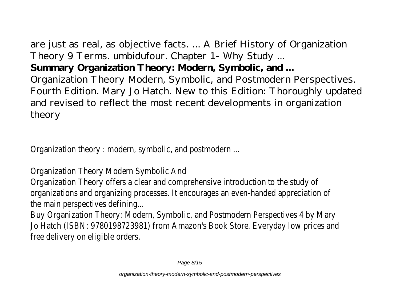are just as real, as objective facts. ... A Brief History of Organization Theory 9 Terms. umbidufour. Chapter 1- Why Study ... **Summary Organization Theory: Modern, Symbolic, and ...** Organization Theory Modern, Symbolic, and Postmodern Perspectives. Fourth Edition. Mary Jo Hatch. New to this Edition: Thoroughly updated and revised to reflect the most recent developments in organization theory

Organization theory : modern, symbolic, and postmodern ...

Organization Theory Modern Symbolic And

Organization Theory offers a clear and comprehensive introduction to the study of organizations and organizing processes. It encourages an even-handed appreciation of the main perspectives defining...

Buy Organization Theory: Modern, Symbolic, and Postmodern Perspectives 4 by Mary Jo Hatch (ISBN: 9780198723981) from Amazon's Book Store. Everyday low prices and free delivery on eligible orders.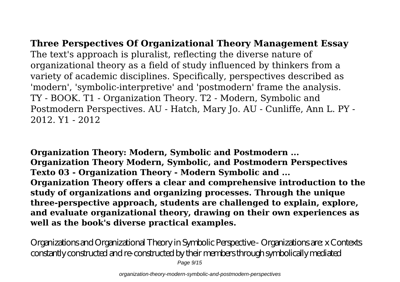**Three Perspectives Of Organizational Theory Management Essay** The text's approach is pluralist, reflecting the diverse nature of organizational theory as a field of study influenced by thinkers from a variety of academic disciplines. Specifically, perspectives described as 'modern', 'symbolic-interpretive' and 'postmodern' frame the analysis. TY - BOOK. T1 - Organization Theory. T2 - Modern, Symbolic and Postmodern Perspectives. AU - Hatch, Mary Jo. AU - Cunliffe, Ann L. PY - 2012. Y1 - 2012

**Organization Theory: Modern, Symbolic and Postmodern ... Organization Theory Modern, Symbolic, and Postmodern Perspectives Texto 03 - Organization Theory - Modern Symbolic and ... Organization Theory offers a clear and comprehensive introduction to the study of organizations and organizing processes. Through the unique three-perspective approach, students are challenged to explain, explore, and evaluate organizational theory, drawing on their own experiences as well as the book's diverse practical examples.**

Organizations and Organizational Theory in Symbolic Perspective - Organizations are: x Contexts constantly constructed and re-constructed by their members through symbolically mediated Page 9/15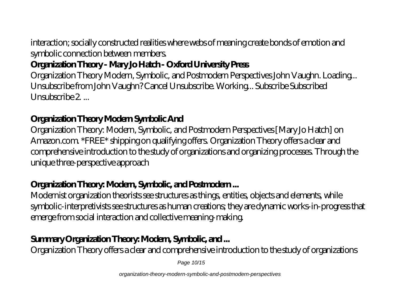interaction; socially constructed realities where webs of meaning create bonds of emotion and symbolic connection between members.

# **Organization Theory - Mary Jo Hatch - Oxford University Press**

Organization Theory Modern, Symbolic, and Postmodern Perspectives John Vaughn. Loading... Unsubscribe from John Vaughn? Cancel Unsubscribe. Working... Subscribe Subscribed Unsubscribe  $2$ 

# **Organization Theory Modern Symbolic And**

Organization Theory: Modern, Symbolic, and Postmodern Perspectives [Mary Jo Hatch] on Amazon.com. \*FREE\* shipping on qualifying offers. Organization Theory offers a clear and comprehensive introduction to the study of organizations and organizing processes. Through the unique three-perspective approach

### **Organization Theory: Modern, Symbolic, and Postmodern ...**

Modernist organization theorists see structures as things, entities, objects and elements, while symbolic-interpretivists see structures as human creations; they are dynamic works-in-progress that emerge from social interaction and collective meaning-making.

# **Summary Organization Theory: Modern, Symbolic, and ...**

Organization Theory offers a clear and comprehensive introduction to the study of organizations

Page 10/15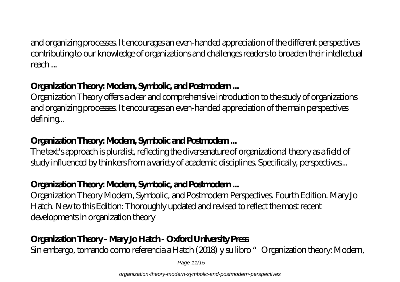and organizing processes. It encourages an even-handed appreciation of the different perspectives contributing to our knowledge of organizations and challenges readers to broaden their intellectual reach ...

# **Organization Theory: Modern, Symbolic, and Postmodern ...**

Organization Theory offers a clear and comprehensive introduction to the study of organizations and organizing processes. It encourages an even-handed appreciation of the main perspectives defining...

### **Organization Theory: Modern, Symbolic and Postmodern ...**

The text's approach is pluralist, reflecting the diversenature of organizational theory as a field of study influenced by thinkers from a variety of academic disciplines. Specifically, perspectives...

# **Organization Theory: Modern, Symbolic, and Postmodern ...**

Organization Theory Modern, Symbolic, and Postmodern Perspectives. Fourth Edition. Mary Jo Hatch. New to this Edition: Thoroughly updated and revised to reflect the most recent developments in organization theory

# **Organization Theory - Mary Jo Hatch - Oxford University Press**

Sin embargo, tomando como referencia a Hatch (2018) y su libro "Organization theory: Modern,

Page 11/15

organization-theory-modern-symbolic-and-postmodern-perspectives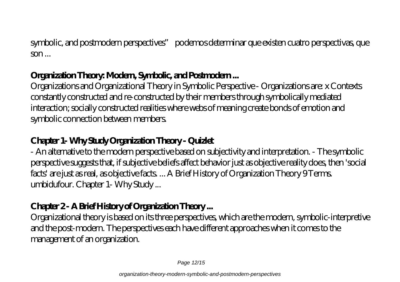symbolic, and postmodern perspectives" podemos determinar que existen cuatro perspectivas, que  $\mathbf{S}$ 

#### **Organization Theory: Modern, Symbolic, and Postmodern ...**

Organizations and Organizational Theory in Symbolic Perspective - Organizations are: x Contexts constantly constructed and re-constructed by their members through symbolically mediated interaction; socially constructed realities where webs of meaning create bonds of emotion and symbolic connection between members.

# **Chapter 1- Why Study Organization Theory - Quizlet**

- An alternative to the modern perspective based on subjectivity and interpretation. - The symbolic perspective suggests that, if subjective beliefs affect behavior just as objective reality does, then 'social facts' are just as real, as objective facts. ... A Brief History of Organization Theory 9 Terms. umbidufour. Chapter 1- Why Study ...

# **Chapter 2 - A Brief History of Organization Theory ...**

Organizational theory is based on its three perspectives, which are the modern, symbolic-interpretive and the post-modern. The perspectives each have different approaches when it comes to the management of an organization.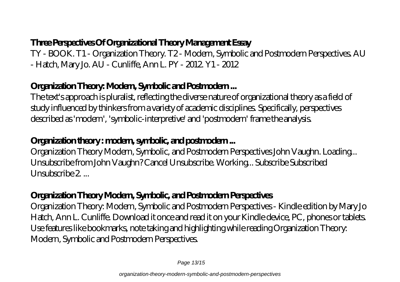### **Three Perspectives Of Organizational Theory Management Essay**

TY - BOOK. T1 - Organization Theory. T2 - Modern, Symbolic and Postmodern Perspectives. AU - Hatch, Mary Jo. AU - Cunliffe, Ann L. PY - 2012. Y1 - 2012

### **Organization Theory: Modern, Symbolic and Postmodern ...**

The text's approach is pluralist, reflecting the diverse nature of organizational theory as a field of study influenced by thinkers from a variety of academic disciplines. Specifically, perspectives described as 'modern', 'symbolic-interpretive' and 'postmodern' frame the analysis.

#### **Organization theory : modern, symbolic, and postmodern ...**

Organization Theory Modern, Symbolic, and Postmodern Perspectives John Vaughn. Loading... Unsubscribe from John Vaughn? Cancel Unsubscribe. Working... Subscribe Subscribed Unsubscribe 2...

#### **Organization Theory Modern, Symbolic, and Postmodern Perspectives**

Organization Theory: Modern, Symbolic and Postmodern Perspectives - Kindle edition by Mary Jo Hatch, Ann L. Cunliffe. Download it once and read it on your Kindle device, PC, phones or tablets. Use features like bookmarks, note taking and highlighting while reading Organization Theory: Modern, Symbolic and Postmodern Perspectives.

Page 13/15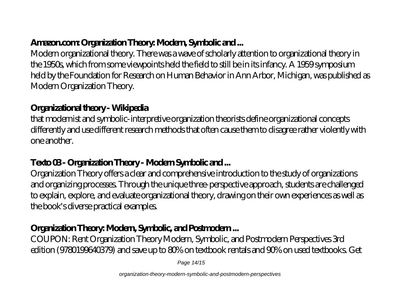# **Amazon.com: Organization Theory: Modern, Symbolic and ...**

Modern organizational theory. There was a wave of scholarly attention to organizational theory in the 1950s, which from some viewpoints held the field to still be in its infancy. A 1959 symposium held by the Foundation for Research on Human Behavior in Ann Arbor, Michigan, was published as Modern Organization Theory.

#### **Organizational theory - Wikipedia**

that modernist and symbolic-interpretive organization theorists define organizational concepts differently and use different research methods that often cause them to disagree rather violently with one another.

### **Texto 03 - Organization Theory - Modern Symbolic and ...**

Organization Theory offers a clear and comprehensive introduction to the study of organizations and organizing processes. Through the unique three-perspective approach, students are challenged to explain, explore, and evaluate organizational theory, drawing on their own experiences as well as the book's diverse practical examples.

# **Organization Theory: Modern, Symbolic, and Postmodern ...**

COUPON: Rent Organization Theory Modern, Symbolic, and Postmodern Perspectives 3rd edition (9780199640379) and save up to 80% on textbook rentals and 90% on used textbooks. Get

Page 14/15